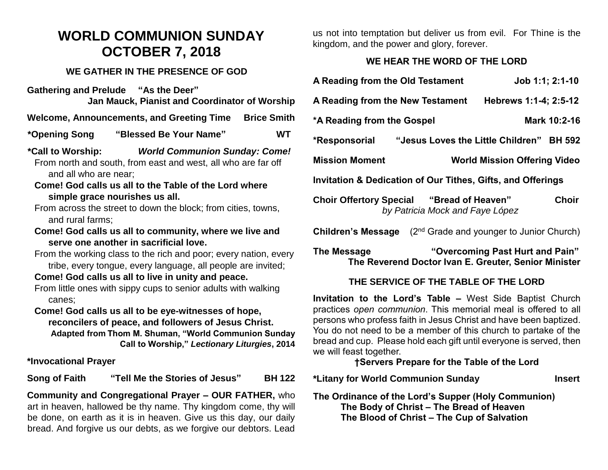# **WORLD COMMUNION SUNDAY OCTOBER 7, 2018**

#### **WE GATHER IN THE PRESENCE OF GOD**

**Gathering and Prelude "As the Deer" Jan Mauck, Pianist and Coordinator of Worship**

**Welcome, Announcements, and Greeting Time Brice Smith** 

**\*Opening Song "Blessed Be Your Name" WT**

**\*Call to Worship:** *World Communion Sunday: Come!* From north and south, from east and west, all who are far off and all who are near;

- **Come! God calls us all to the Table of the Lord where simple grace nourishes us all.**
- From across the street to down the block; from cities, towns, and rural farms;
- **Come! God calls us all to community, where we live and serve one another in sacrificial love.**
- From the working class to the rich and poor; every nation, every tribe, every tongue, every language, all people are invited;

**Come! God calls us all to live in unity and peace.**

From little ones with sippy cups to senior adults with walking canes;

**Come! God calls us all to be eye-witnesses of hope, reconcilers of peace, and followers of Jesus Christ. Adapted from Thom M. Shuman, "World Communion Sunday Call to Worship,"** *Lectionary Liturgies***, 2014**

**\*Invocational Prayer**

**Song of Faith "Tell Me the Stories of Jesus" BH 122**

**Community and Congregational Prayer – OUR FATHER,** who art in heaven, hallowed be thy name. Thy kingdom come, thy will be done, on earth as it is in heaven. Give us this day, our daily bread. And forgive us our debts, as we forgive our debtors. Lead

us not into temptation but deliver us from evil. For Thine is the kingdom, and the power and glory, forever.

#### **WE HEAR THE WORD OF THE LORD**

| A Reading from the Old Testament                                                                    |                                          | Job 1:1; 2:1-10                     |  |
|-----------------------------------------------------------------------------------------------------|------------------------------------------|-------------------------------------|--|
| Hebrews 1:1-4; 2:5-12<br>A Reading from the New Testament                                           |                                          |                                     |  |
| *A Reading from the Gospel                                                                          |                                          | Mark 10:2-16                        |  |
| *Responsorial                                                                                       | "Jesus Loves the Little Children" BH 592 |                                     |  |
| <b>Mission Moment</b>                                                                               |                                          | <b>World Mission Offering Video</b> |  |
| Invitation & Dedication of Our Tithes, Gifts, and Offerings                                         |                                          |                                     |  |
| <b>Choir Offertory Special "Bread of Heaven"</b><br><b>Choir</b><br>by Patricia Mock and Faye López |                                          |                                     |  |
| (2 <sup>nd</sup> Grade and younger to Junior Church)<br>Children's Message                          |                                          |                                     |  |

**The Message "Overcoming Past Hurt and Pain" The Reverend Doctor Ivan E. Greuter, Senior Minister**

#### **THE SERVICE OF THE TABLE OF THE LORD**

**Invitation to the Lord's Table –** West Side Baptist Church practices *open communion*. This memorial meal is offered to all persons who profess faith in Jesus Christ and have been baptized. You do not need to be a member of this church to partake of the bread and cup. Please hold each gift until everyone is served, then we will feast together.

#### **†Servers Prepare for the Table of the Lord**

**\*Litany for World Communion Sunday Insert**

**The Ordinance of the Lord's Supper (Holy Communion) The Body of Christ – The Bread of Heaven The Blood of Christ – The Cup of Salvation**